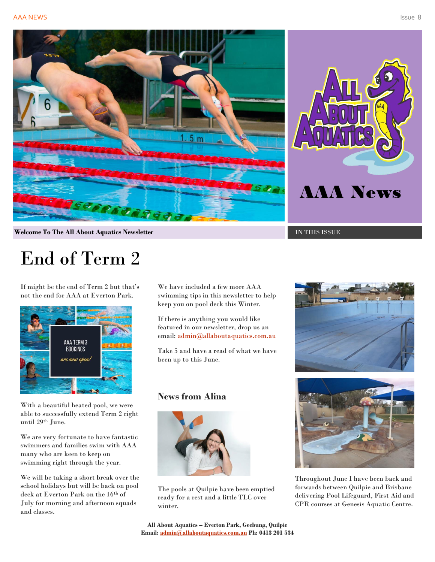



**Welcome To The All About Aquatics Newsletter Intervalse of the IN THIS ISSUE** 

# End of Term 2

If might be the end of Term 2 but that's not the end for AAA at Everton Park.



With a beautiful heated pool, we were able to successfully extend Term 2 right until 29th June.

We are very fortunate to have fantastic swimmers and families swim with AAA many who are keen to keep on swimming right through the year.

We will be taking a short break over the school holidays but will be back on pool deck at Everton Park on the 16th of July for morning and afternoon squads and classes.

We have included a few more AAA swimming tips in this newsletter to help keep you on pool deck this Winter.

If there is anything you would like featured in our newsletter, drop us an email: [admin@allaboutaquatics.com.au](mailto:admin@allaboutaquatics.com.au)

Take 5 and have a read of what we have been up to this June.

#### **News from Alina**



The pools at Quilpie have been emptied ready for a rest and a little TLC over winter.





Throughout June I have been back and forwards between Quilpie and Brisbane delivering Pool Lifeguard, First Aid and CPR courses at Genesis Aquatic Centre.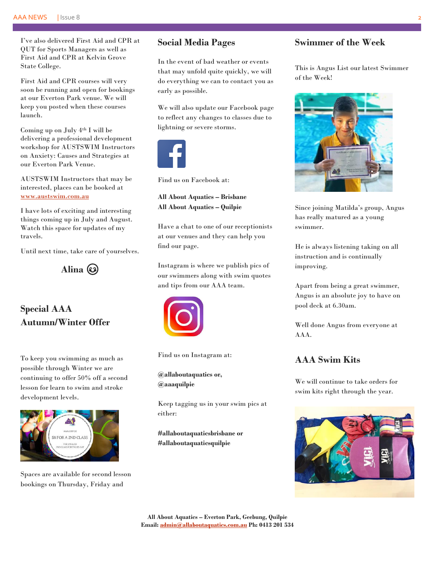I've also delivered First Aid and CPR at QUT for Sports Managers as well as First Aid and CPR at Kelvin Grove State College.

First Aid and CPR courses will very soon be running and open for bookings at our Everton Park venue. We will keep you posted when these courses launch.

Coming up on July 4th I will be delivering a professional development workshop for AUSTSWIM Instructors on Anxiety: Causes and Strategies at our Everton Park Venue.

AUSTSWIM Instructors that may be interested, places can be booked at [www.austswim.com.au](http://www.austswim.com.au/)

I have lots of exciting and interesting things coming up in July and August. Watch this space for updates of my travels.

Until next time, take care of yourselves.

**Alina**

# **Special AAA Autumn/Winter Offer**

To keep you swimming as much as possible through Winter we are continuing to offer 50% off a second lesson for learn to swim and stroke development levels.



Spaces are available for second lesson bookings on Thursday, Friday and

#### **Social Media Pages**

In the event of bad weather or events that may unfold quite quickly, we will do everything we can to contact you as early as possible.

We will also update our Facebook page to reflect any changes to classes due to lightning or severe storms.



Find us on Facebook at:

**All About Aquatics – Brisbane All About Aquatics – Quilpie**

Have a chat to one of our receptionists at our venues and they can help you find our page.

Instagram is where we publish pics of our swimmers along with swim quotes and tips from our AAA team.



Find us on Instagram at:

**@allaboutaquatics or, @aaaquilpie**

Keep tagging us in your swim pics at either:

**#allaboutaquaticsbrisbane or #allaboutaquaticsquilpie**

## **Swimmer of the Week**

This is Angus List our latest Swimmer of the Week!



Since joining Matilda's group, Angus has really matured as a young swimmer.

He is always listening taking on all instruction and is continually improving.

Apart from being a great swimmer, Angus is an absolute joy to have on pool deck at 6.30am.

Well done Angus from everyone at AAA.

### **AAA Swim Kits**

We will continue to take orders for swim kits right through the year.